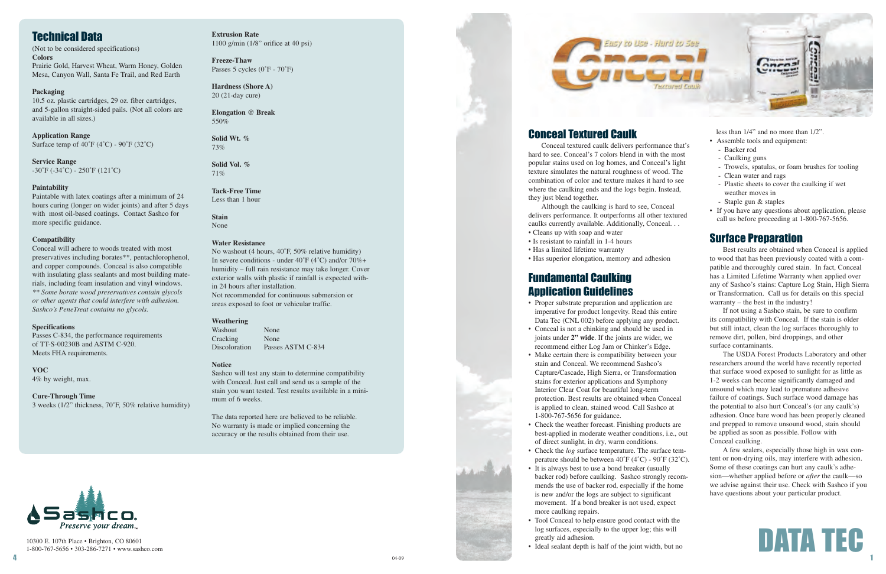

## Conceal Textured Caulk

Conceal textured caulk delivers performance that's hard to see. Conceal's 7 colors blend in with the most popular stains used on log homes, and Conceal's light texture simulates the natural roughness of wood. The combination of color and texture makes it hard to see where the caulking ends and the logs begin. Instead, they just blend together.

Although the caulking is hard to see, Conceal delivers performance. It outperforms all other textured caulks currently available. Additionally, Conceal. . .

- Cleans up with soap and water
- Is resistant to rainfall in 1-4 hours
- Has a limited lifetime warranty
- Has superior elongation, memory and adhesion

### Fundamental Caulking Application Guidelines

- Proper substrate preparation and application are imperative for product longevity. Read this entire Data Tec (CNL 002) before applying any product.
- Conceal is not a chinking and should be used in joints under **2" wide**. If the joints are wider, we recommend either Log Jam or Chinker's Edge.
- Make certain there is compatibility between your stain and Conceal. We recommend Sashco's Capture/Cascade, High Sierra, or Transformation stains for exterior applications and Symphony Interior Clear Coat for beautiful long-term protection. Best results are obtained when Conceal is applied to clean, stained wood. Call Sashco at 1-800-767-5656 for guidance.
- Check the weather forecast. Finishing products are best-applied in moderate weather conditions, i.e., out of direct sunlight, in dry, warm conditions.
- Check the *log* surface temperature. The surface tem perature should be between  $40^{\circ}F (4^{\circ}C) - 90^{\circ}F (32^{\circ}C)$ .
- It is always best to use a bond breaker (usually backer rod) before caulking. Sashco strongly recom mends the use of backer rod, especially if the home is new and/or the logs are subject to significant movement. If a bond breaker is not used, expect more caulking repairs.
- Tool Conceal to help ensure good contact with the log surfaces, especially to the upper log; this will greatly aid adhesion.
- Ideal sealant depth is half of the joint width, but no



**Application Range** Surface temp of  $40^{\circ}$ F (4 $^{\circ}$ C) -  $90^{\circ}$ F (32 $^{\circ}$ C)

less than 1/4" and no more than 1/2". • Assemble tools and equipment:

- Backer rod
- Caulking guns
- Trowels, spatulas, or foam brushes for tooling
- Clean water and rags
- Plastic sheets to cover the caulking if wet weather moves in
- Staple gun & staples
- If you have any questions about application, please call us before proceeding at 1-800-767-5656.

#### Surface Preparation

Best results are obtained when Conceal is applied to wood that has been previously coated with a compatible and thoroughly cured stain. In fact, Conceal has a Limited Lifetime Warranty when applied over any of Sashco's stains: Capture Log Stain, High Sierra or Transformation. Call us for details on this special warranty – the best in the industry!

Washout None Cracking None Discoloration Passes ASTM C-834

If not using a Sashco stain, be sure to confirm its compatibility with Conceal. If the stain is older but still intact, clean the log surfaces thoroughly to remove dirt, pollen, bird droppings, and other surface contaminants.

The USDA Forest Products Laboratory and other researchers around the world have recently reported that surface wood exposed to sunlight for as little as 1-2 weeks can become significantly damaged and unsound which may lead to premature adhesive failure of coatings. Such surface wood damage has the potential to also hurt Conceal's (or any caulk's) adhesion. Once bare wood has been properly cleaned and prepped to remove unsound wood, stain should be applied as soon as possible. Follow with Conceal caulking.

A few sealers, especially those high in wax content or non-drying oils, may interfere with adhesion. Some of these coatings can hurt any caulk's adhesion—whether applied before or *after* the caulk—so we advise against their use. Check with Sashco if you have questions about your particular product.

10300 E. 107th Place • Brighton, CO 80601 1-800-767-5656 • 303-286-7271 • www.sashco.com



# Technical Data

(Not to be considered specifications) **Colors** Prairie Gold, Harvest Wheat, Warm Honey, Golden Mesa, Canyon Wall, Santa Fe Trail, and Red Earth

**Packaging** 10.5 oz. plastic cartridges, 29 oz. fiber cartridges, and 5-gallon straight-sided pails. (Not all colors are available in all sizes.)

**Service Range** -30˚F (-34˚C) - 250˚F (121˚C)

#### **Paintability**

Paintable with latex coatings after a minimum of 24 hours curing (longer on wider joints) and after 5 days with most oil-based coatings. Contact Sashco for more specific guidance.

#### **Compatibility**

Conceal will adhere to woods treated with most preservatives including borates\*\*, pentachlorophenol, and copper compounds. Conceal is also compatible with insulating glass sealants and most building materials, including foam insulation and vinyl windows. *\*\* Some borate wood preservatives contain glycols or other agents that could interfere with adhesion. Sashco's PeneTreat contains no glycols.*

#### **Specifications**

Passes C-834, the performance requirements of TT-S-00230B and ASTM C-920. Meets FHA requirements.

**VOC**

4% by weight, max.

#### **Cure-Through Time**

3 weeks (1/2" thickness, 70˚F, 50% relative humidity)

**Extrusion Rate** 1100 g/min (1/8" orifice at 40 psi)

**Freeze-Thaw** Passes 5 cycles (0˚F - 70˚F)

**Hardness (Shore A)** 20 (21-day cure)

**Elongation @ Break** 550%

**Solid Wt. %** 73%

**Solid Vol. %** 71%

**Tack-Free Time** Less than 1 hour

**Stain** None

#### **Water Resistance**

No washout (4 hours, 40˚F, 50% relative humidity) In severe conditions - under 40˚F (4˚C) and/or 70%+ humidity – full rain resistance may take longer. Cover exterior walls with plastic if rainfall is expected within 24 hours after installation. Not recommended for continuous submersion or areas exposed to foot or vehicular traffic.

#### **Weathering**

#### **Notice**

Sashco will test any stain to determine compatibility with Conceal. Just call and send us a sample of the stain you want tested. Test results available in a minimum of 6 weeks.

The data reported here are believed to be reliable. No warranty is made or implied concerning the accuracy or the results obtained from their use.